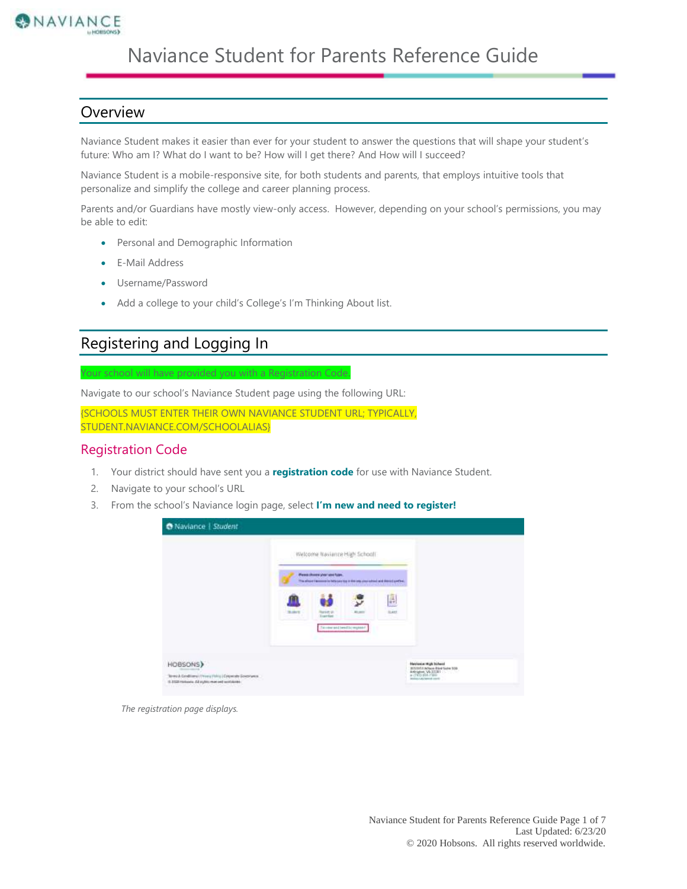

# Naviance Student for Parents Reference Guide

#### **Overview**

Naviance Student makes it easier than ever for your student to answer the questions that will shape your student's future: Who am I? What do I want to be? How will I get there? And How will I succeed?

Naviance Student is a mobile-responsive site, for both students and parents, that employs intuitive tools that personalize and simplify the college and career planning process.

Parents and/or Guardians have mostly view-only access. However, depending on your school's permissions, you may be able to edit:

- Personal and Demographic Information
- E-Mail Address
- Username/Password
- Add a college to your child's College's I'm Thinking About list.

### Registering and Logging In

Navigate to our school's Naviance Student page using the following URL:

Your school will have provided you with a Registration Code.

{SCHOOLS MUST ENTER THEIR OWN NAVIANCE STUDENT URL; TYPICALLY, STUDENT.NAVIANCE.COM/SCHOOLALIAS}

#### Registration Code

- 1. Your district should have sent you a **registration code** for use with Naviance Student.
- 2. Navigate to your school's URL
- 3. From the school's Naviance login page, select **I'm new and need to register!**

|              |                                       | Welcome Naviance High School                                                                                                  |                    |  |
|--------------|---------------------------------------|-------------------------------------------------------------------------------------------------------------------------------|--------------------|--|
|              | Please choose your used type.         | The allows income in hits case top in the one year sales is and depict profital.<br><b>With School Windows</b> - William Corp |                    |  |
| <b>SLANT</b> | Report of<br><b>Traching</b>          | $\overline{\mathbf{v}}$<br>All paint                                                                                          | I.<br><b>SLASS</b> |  |
|              | This means and benefit by requirement |                                                                                                                               |                    |  |

*The registration page displays.*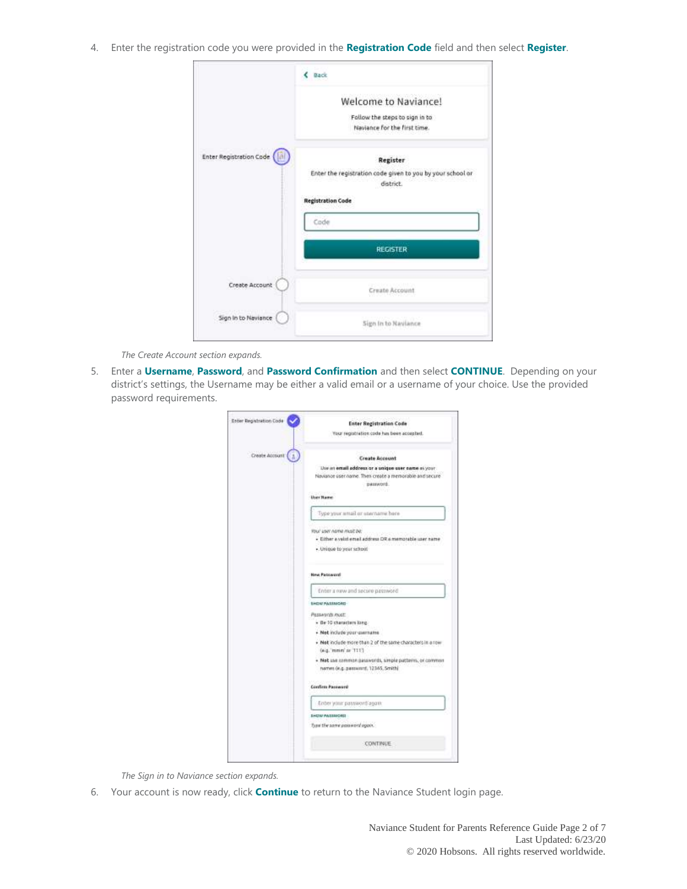4. Enter the registration code you were provided in the **Registration Code** field and then select **Register**.

|                         | Back                                                                                                            |
|-------------------------|-----------------------------------------------------------------------------------------------------------------|
|                         | Welcome to Naviance!<br>Follow the steps to sign in to<br>Naviance for the first time.                          |
| Enter Registration Code | Register<br>Enter the registration code given to you by your school or<br>district.<br><b>Registration Code</b> |
|                         | Code<br><b>REGISTER</b>                                                                                         |
| Create Account          | Create Account                                                                                                  |
| Sign in to Naviance     | Sign In to Naviance                                                                                             |

*The Create Account section expands.*

5. Enter a **Username**, **Password**, and **Password Confirmation** and then select **CONTINUE**. Depending on your district's settings, the Username may be either a valid email or a username of your choice. Use the provided password requirements.

| Entier Registration Code | Exter Registration Code<br>Your regratistion code has been acousted.                          |
|--------------------------|-----------------------------------------------------------------------------------------------|
|                          |                                                                                               |
| Create Account           | <b>Create Account</b>                                                                         |
|                          | Use an email address or a unique caer came as your                                            |
|                          | Naviance úser name. Then create a memorable and secure                                        |
|                          | . Bassword.<br>,,,,,,,                                                                        |
|                          | <b>User Name</b>                                                                              |
|                          | Type your small or santhame here                                                              |
|                          | TOU' LINY AGINE HIUST DE                                                                      |
|                          | · Either a valid email address DR a memorable user name<br>우리가 하라 화장 사이에 있다                   |
|                          | itecture to year school.                                                                      |
|                          | <b>New Patrword</b>                                                                           |
|                          | Enter a new and secure password                                                               |
|                          | <b><i>ENDNI PASSMORE-</i></b>                                                                 |
|                          | Plesswords /roat:                                                                             |
|                          | · Be 10 characters long                                                                       |
|                          | - Not include your usemains                                                                   |
|                          | . Not include more than 2 of the same characters in a row<br>(e.g. mean or TTF)               |
|                          | - Not use common passwords, simple patterns, or common<br>hames (e.g. password, 12365, Smith) |
|                          | Confirm Password                                                                              |
|                          | : Enter your password again                                                                   |
|                          | <b>SHOW PASSINGRES</b>                                                                        |
|                          | Type the same parawors opport.                                                                |
|                          | <b>CONTINUE</b>                                                                               |

*The Sign in to Naviance section expands.*

6. Your account is now ready, click **Continue** to return to the Naviance Student login page.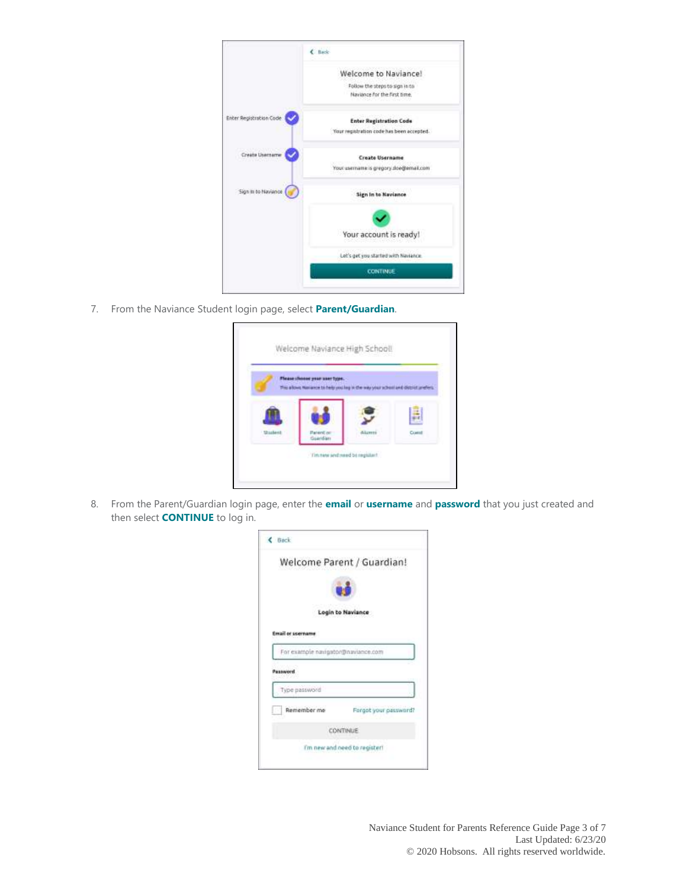|                         | C Back-                                                                     |
|-------------------------|-----------------------------------------------------------------------------|
|                         | Welcome to Naviance!                                                        |
|                         | Follow the steps to sign in to<br>Naviance for the first time.              |
| Enter Registration Code | <b>Enter Registration Code</b><br>Your registration code has been accepted. |
| Create Username         | <b>Create Username</b><br>Yout usemane is gregory doe@email.com             |
| Sign in to Naviance     | <b>Sign In to Naviance</b>                                                  |
|                         |                                                                             |
|                         | Your account is ready!                                                      |
|                         | Let's get you started with Naviance.                                        |
|                         | <b>CONTINUE</b>                                                             |

7. From the Naviance Student login page, select **Parent/Guardian**.

|                   | Please choose your user type.<br>This along Harance to help you log in the way your school and discrimination. |                |        |
|-------------------|----------------------------------------------------------------------------------------------------------------|----------------|--------|
|                   |                                                                                                                |                |        |
|                   |                                                                                                                |                |        |
| $2 - 11 - 10 = 0$ | Parent on<br>Guaritian                                                                                         | <b>Alizert</b> | Custof |

8. From the Parent/Guardian login page, enter the **email** or **username** and **password** that you just created and then select **CONTINUE** to log in.

| < Back                             |                            |
|------------------------------------|----------------------------|
|                                    | Welcome Parent / Guardian! |
|                                    |                            |
|                                    | Login to Naviance          |
| <b>Email or username</b>           |                            |
|                                    |                            |
| For example navigator@naviance.com |                            |
| Password                           |                            |
| Type password                      |                            |
| Remember me                        | Forgot your password?      |
|                                    | CONTINUE                   |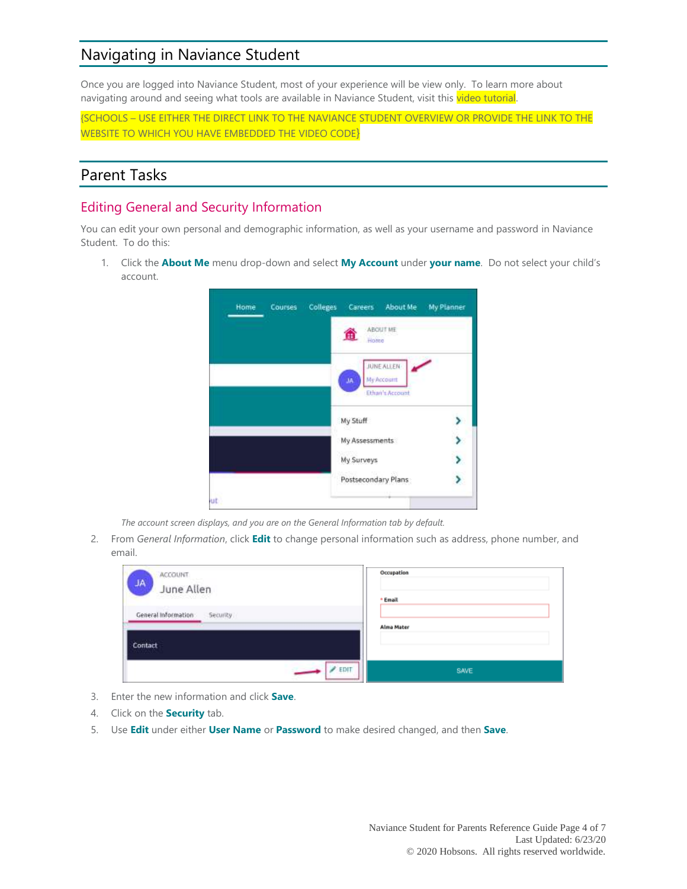### Navigating in Naviance Student

Once you are logged into Naviance Student, most of your experience will be view only. To learn more about navigating around and seeing what tools are available in Naviance Student, visit this video tutorial.

{SCHOOLS – USE EITHER THE DIRECT LINK TO THE NAVIANCE STUDENT OVERVIEW OR PROVIDE THE LINK TO THE WEBSITE TO WHICH YOU HAVE EMBEDDED THE VIDEO CODE}

#### Parent Tasks

### Editing General and Security Information

You can edit your own personal and demographic information, as well as your username and password in Naviance Student. To do this:

1. Click the **About Me** menu drop-down and select **My Account** under **your name**. Do not select your child's account.



*The account screen displays, and you are on the General Information tab by default.*

2. From *General Information*, click **Edit** to change personal information such as address, phone number, and email.

| <b>ACCOUNT</b><br><b>JA</b><br>June Allen | Occupation<br>+ Email |
|-------------------------------------------|-----------------------|
| General Information<br><b>Security</b>    | Alma Mater            |
| Contact                                   |                       |
| $F$ EDIT                                  | SAVE                  |

- 3. Enter the new information and click **Save**.
- 4. Click on the **Security** tab.
- 5. Use **Edit** under either **User Name** or **Password** to make desired changed, and then **Save**.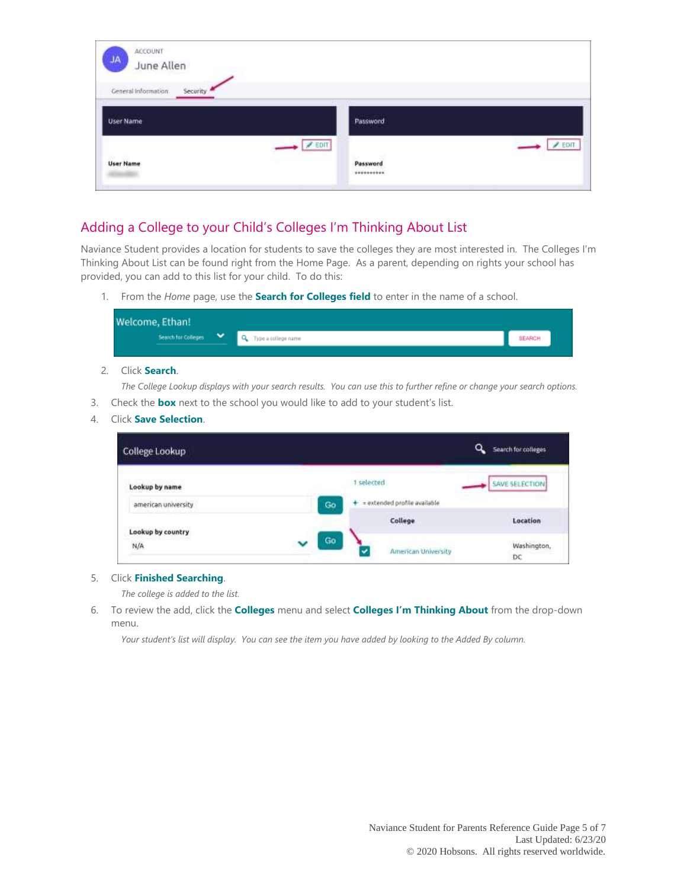| ACCOUNT<br><b>JA</b><br>June Allen           |                                        |
|----------------------------------------------|----------------------------------------|
| General Information<br>Security              |                                        |
| User Name                                    | Password<br><b><i>CONTRACTOR</i></b>   |
| $\sqrt{25}$<br>820 - 829<br><b>User Name</b> | $\sqrt{EDT}$<br>Password<br>********** |

### Adding a College to your Child's Colleges I'm Thinking About List

Naviance Student provides a location for students to save the colleges they are most interested in. The Colleges I'm Thinking About List can be found right from the Home Page. As a parent, depending on rights your school has provided, you can add to this list for your child. To do this:

1. From the *Home* page, use the **Search for Colleges field** to enter in the name of a school.

| Welcome, Ethan!     |                       |               |  |
|---------------------|-----------------------|---------------|--|
| Search for Colleges | Q Type a college name | <b>SEARCH</b> |  |
|                     |                       |               |  |

#### 2. Click **Search**.

*The College Lookup displays with your search results. You can use this to further refine or change your search options.* 3. Check the **box** next to the school you would like to add to your student's list.

4. Click **Save Selection**.

| College Lookup      |         | $\alpha$                       | Search for colleges   |
|---------------------|---------|--------------------------------|-----------------------|
| Lookup by name      |         | 1 selected                     | <b>SAVE SELECTION</b> |
| american university | Go      | + = extended profile available |                       |
| Lookup by country   |         | College                        | Location              |
| N/A                 | Go<br>v | American University            | Washington,<br>DC     |

#### 5. Click **Finished Searching**.

*The college is added to the list.*

6. To review the add, click the **Colleges** menu and select **Colleges I'm Thinking About** from the drop-down menu.

*Your student's list will display. You can see the item you have added by looking to the Added By column.*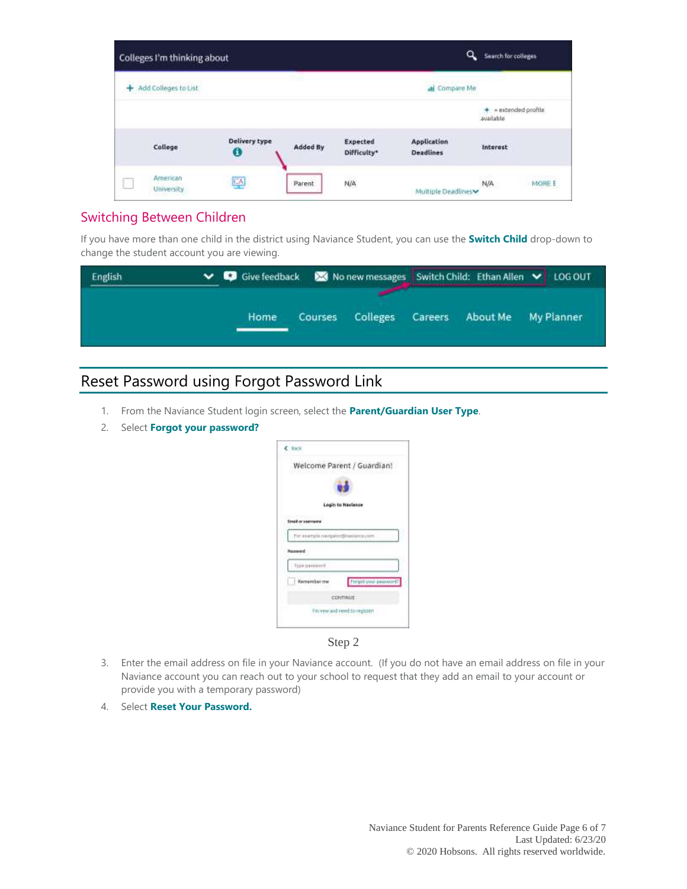| Colleges I'm thinking about |                    |          |                         | ۹                                      | Search for colleges |                    |
|-----------------------------|--------------------|----------|-------------------------|----------------------------------------|---------------------|--------------------|
| Add Colleges to List        |                    |          |                         | all Compare Me                         |                     |                    |
|                             |                    |          |                         |                                        | available           | = extended profile |
| College                     | Delivery type<br>O | Added By | Expected<br>Difficulty* | <b>Application</b><br><b>Deadlines</b> | Interest<br>3200000 |                    |
| American<br>University      | 뜨                  | Parent   | N/A                     | Multiple Deadlines                     | N/A                 | MORE E             |

#### Switching Between Children

If you have more than one child in the district using Naviance Student, you can use the **Switch Child** drop-down to change the student account you are viewing.

| English | ↓ © Give feedback  ■ No new messages   Switch Child: Ethan Allen ↓ LOG OUT |         |          |         |          |            |
|---------|----------------------------------------------------------------------------|---------|----------|---------|----------|------------|
|         | Home                                                                       | Courses | Colleges | Careers | About Me | My Planner |

## Reset Password using Forgot Password Link

- 1. From the Naviance Student login screen, select the **Parent/Guardian User Type**.
- 2. Select **Forgot your password?**

| C Back                                     |                            |
|--------------------------------------------|----------------------------|
|                                            | Welcome Parent / Guardian! |
|                                            |                            |
|                                            | Login to Navisson          |
|                                            |                            |
|                                            |                            |
| <b>STARBIN</b><br><b>Email or seemants</b> |                            |
|                                            |                            |
| . For example rungalize@navuoce.com        |                            |
| <b>Password</b>                            |                            |
|                                            |                            |
| Type gasward                               |                            |
| <b>Remember my</b>                         | Firgot your password?      |
|                                            |                            |
|                                            | <b>CONTINUE</b>            |

Step 2

- 3. Enter the email address on file in your Naviance account. (If you do not have an email address on file in your Naviance account you can reach out to your school to request that they add an email to your account or provide you with a temporary password)
- 4. Select **Reset Your Password.**